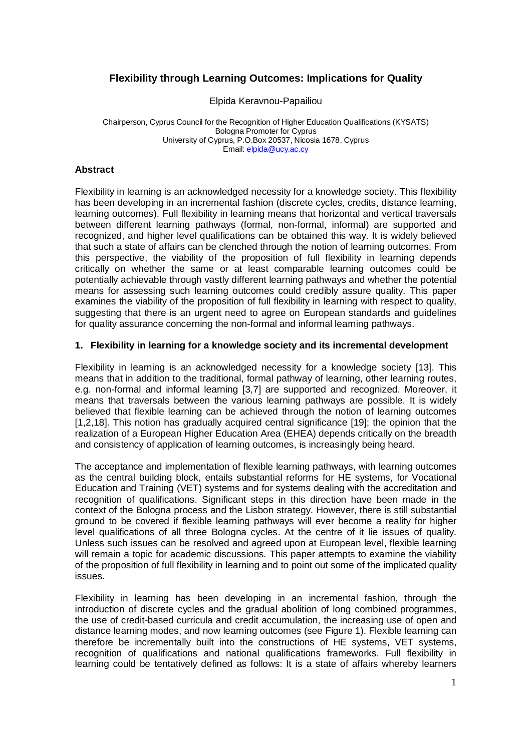# **Flexibility through Learning Outcomes: Implications for Quality**

Elpida Keravnou-Papailiou

Chairperson, Cyprus Council for the Recognition of Higher Education Qualifications (KYSATS) Bologna Promoter for Cyprus University of Cyprus, P.O.Box 20537, Nicosia 1678, Cyprus Email: elpida@ucy.ac.cy

#### **Abstract**

Flexibility in learning is an acknowledged necessity for a knowledge society. This flexibility has been developing in an incremental fashion (discrete cycles, credits, distance learning, learning outcomes). Full flexibility in learning means that horizontal and vertical traversals between different learning pathways (formal, non-formal, informal) are supported and recognized, and higher level qualifications can be obtained this way. It is widely believed that such a state of affairs can be clenched through the notion of learning outcomes. From this perspective, the viability of the proposition of full flexibility in learning depends critically on whether the same or at least comparable learning outcomes could be potentially achievable through vastly different learning pathways and whether the potential means for assessing such learning outcomes could credibly assure quality. This paper examines the viability of the proposition of full flexibility in learning with respect to quality, suggesting that there is an urgent need to agree on European standards and guidelines for quality assurance concerning the non-formal and informal learning pathways.

### **1. Flexibility in learning for a knowledge society and its incremental development**

Flexibility in learning is an acknowledged necessity for a knowledge society [13]. This means that in addition to the traditional, formal pathway of learning, other learning routes, e.g. non-formal and informal learning [3,7] are supported and recognized. Moreover, it means that traversals between the various learning pathways are possible. It is widely believed that flexible learning can be achieved through the notion of learning outcomes [1,2,18]. This notion has gradually acquired central significance [19]; the opinion that the realization of a European Higher Education Area (EHEA) depends critically on the breadth and consistency of application of learning outcomes, is increasingly being heard.

The acceptance and implementation of flexible learning pathways, with learning outcomes as the central building block, entails substantial reforms for HE systems, for Vocational Education and Training (VET) systems and for systems dealing with the accreditation and recognition of qualifications. Significant steps in this direction have been made in the context of the Bologna process and the Lisbon strategy. However, there is still substantial ground to be covered if flexible learning pathways will ever become a reality for higher level qualifications of all three Bologna cycles. At the centre of it lie issues of quality. Unless such issues can be resolved and agreed upon at European level, flexible learning will remain a topic for academic discussions. This paper attempts to examine the viability of the proposition of full flexibility in learning and to point out some of the implicated quality issues.

Flexibility in learning has been developing in an incremental fashion, through the introduction of discrete cycles and the gradual abolition of long combined programmes, the use of credit-based curricula and credit accumulation, the increasing use of open and distance learning modes, and now learning outcomes (see Figure 1). Flexible learning can therefore be incrementally built into the constructions of HE systems, VET systems, recognition of qualifications and national qualifications frameworks. Full flexibility in learning could be tentatively defined as follows: It is a state of affairs whereby learners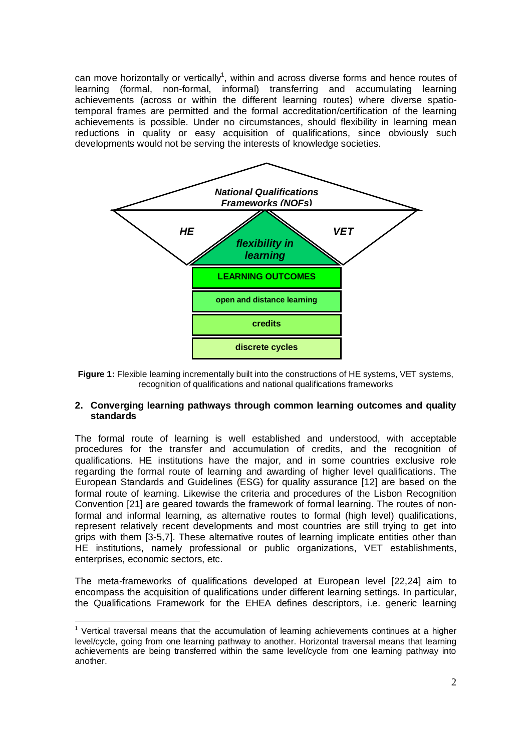can move horizontally or vertically<sup>1</sup>, within and across diverse forms and hence routes of learning (formal, non-formal, informal) transferring and accumulating learning achievements (across or within the different learning routes) where diverse spatiotemporal frames are permitted and the formal accreditation/certification of the learning achievements is possible. Under no circumstances, should flexibility in learning mean reductions in quality or easy acquisition of qualifications, since obviously such developments would not be serving the interests of knowledge societies.



Figure 1: Flexible learning incrementally built into the constructions of HE systems, VET systems, recognition of qualifications and national qualifications frameworks

### **2. Converging learning pathways through common learning outcomes and quality standards**

The formal route of learning is well established and understood, with acceptable procedures for the transfer and accumulation of credits, and the recognition of qualifications. HE institutions have the major, and in some countries exclusive role regarding the formal route of learning and awarding of higher level qualifications. The European Standards and Guidelines (ESG) for quality assurance [12] are based on the formal route of learning. Likewise the criteria and procedures of the Lisbon Recognition Convention [21] are geared towards the framework of formal learning. The routes of nonformal and informal learning, as alternative routes to formal (high level) qualifications, represent relatively recent developments and most countries are still trying to get into grips with them [3-5,7]. These alternative routes of learning implicate entities other than HE institutions, namely professional or public organizations, VET establishments, enterprises, economic sectors, etc.

The meta-frameworks of qualifications developed at European level [22,24] aim to encompass the acquisition of qualifications under different learning settings. In particular, the Qualifications Framework for the EHEA defines descriptors, i.e. generic learning

 $1$  Vertical traversal means that the accumulation of learning achievements continues at a higher level/cycle, going from one learning pathway to another. Horizontal traversal means that learning achievements are being transferred within the same level/cycle from one learning pathway into another.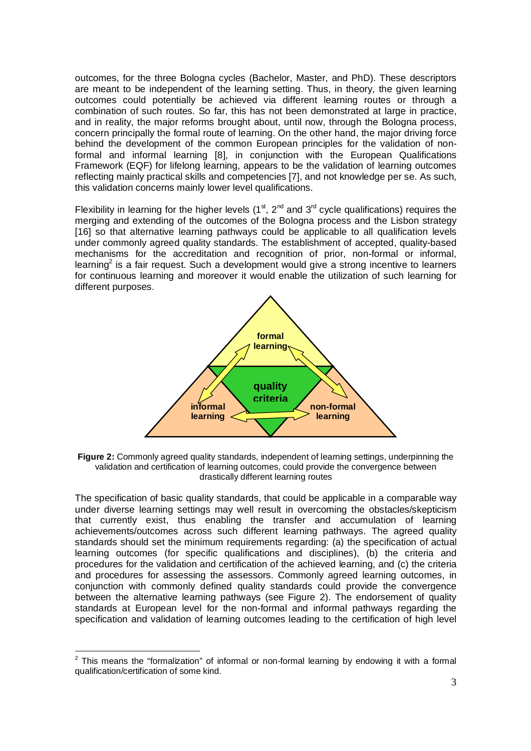outcomes, for the three Bologna cycles (Bachelor, Master, and PhD). These descriptors are meant to be independent of the learning setting. Thus, in theory, the given learning outcomes could potentially be achieved via different learning routes or through a combination of such routes. So far, this has not been demonstrated at large in practice, and in reality, the major reforms brought about, until now, through the Bologna process, concern principally the formal route of learning. On the other hand, the major driving force behind the development of the common European principles for the validation of nonformal and informal learning [8], in conjunction with the European Qualifications Framework (EQF) for lifelong learning, appears to be the validation of learning outcomes reflecting mainly practical skills and competencies [7], and not knowledge per se. As such, this validation concerns mainly lower level qualifications.

Flexibility in learning for the higher levels  $(1<sup>st</sup>, 2<sup>nd</sup>$  and  $3<sup>rd</sup>$  cycle qualifications) requires the merging and extending of the outcomes of the Bologna process and the Lisbon strategy [16] so that alternative learning pathways could be applicable to all qualification levels under commonly agreed quality standards. The establishment of accepted, quality-based mechanisms for the accreditation and recognition of prior, non-formal or informal, learning<sup>2</sup> is a fair request. Such a development would give a strong incentive to learners for continuous learning and moreover it would enable the utilization of such learning for different purposes.



**Figure 2:** Commonly agreed quality standards, independent of learning settings, underpinning the validation and certification of learning outcomes, could provide the convergence between drastically different learning routes

The specification of basic quality standards, that could be applicable in a comparable way under diverse learning settings may well result in overcoming the obstacles/skepticism that currently exist, thus enabling the transfer and accumulation of learning achievements/outcomes across such different learning pathways. The agreed quality standards should set the minimum requirements regarding: (a) the specification of actual learning outcomes (for specific qualifications and disciplines), (b) the criteria and procedures for the validation and certification of the achieved learning, and (c) the criteria and procedures for assessing the assessors. Commonly agreed learning outcomes, in conjunction with commonly defined quality standards could provide the convergence between the alternative learning pathways (see Figure 2). The endorsement of quality standards at European level for the non-formal and informal pathways regarding the specification and validation of learning outcomes leading to the certification of high level

 $\overline{a}$  $2$  This means the "formalization" of informal or non-formal learning by endowing it with a formal qualification/certification of some kind.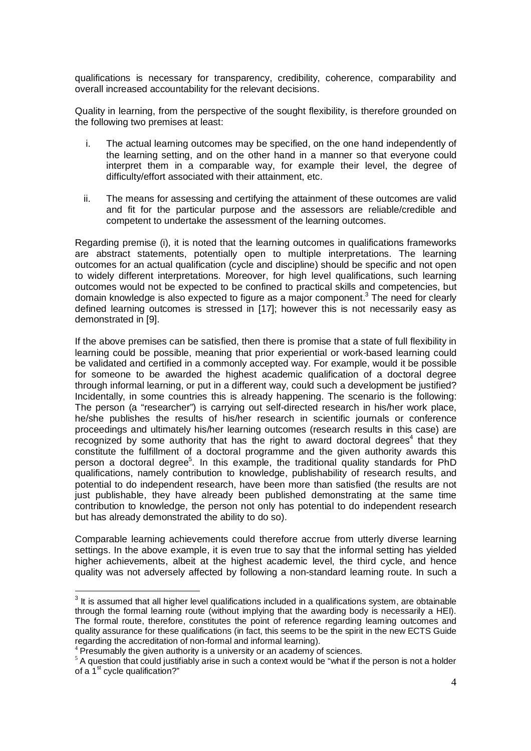qualifications is necessary for transparency, credibility, coherence, comparability and overall increased accountability for the relevant decisions.

Quality in learning, from the perspective of the sought flexibility, is therefore grounded on the following two premises at least:

- i. The actual learning outcomes may be specified, on the one hand independently of the learning setting, and on the other hand in a manner so that everyone could interpret them in a comparable way, for example their level, the degree of difficulty/effort associated with their attainment, etc.
- ii. The means for assessing and certifying the attainment of these outcomes are valid and fit for the particular purpose and the assessors are reliable/credible and competent to undertake the assessment of the learning outcomes.

Regarding premise (i), it is noted that the learning outcomes in qualifications frameworks are abstract statements, potentially open to multiple interpretations. The learning outcomes for an actual qualification (cycle and discipline) should be specific and not open to widely different interpretations. Moreover, for high level qualifications, such learning outcomes would not be expected to be confined to practical skills and competencies, but domain knowledge is also expected to figure as a major component.<sup>3</sup> The need for clearly defined learning outcomes is stressed in [17]; however this is not necessarily easy as demonstrated in [9].

If the above premises can be satisfied, then there is promise that a state of full flexibility in learning could be possible, meaning that prior experiential or work-based learning could be validated and certified in a commonly accepted way. For example, would it be possible for someone to be awarded the highest academic qualification of a doctoral degree through informal learning, or put in a different way, could such a development be justified? Incidentally, in some countries this is already happening. The scenario is the following: The person (a "researcher") is carrying out self-directed research in his/her work place, he/she publishes the results of his/her research in scientific journals or conference proceedings and ultimately his/her learning outcomes (research results in this case) are recognized by some authority that has the right to award doctoral degrees<sup>4</sup> that they constitute the fulfillment of a doctoral programme and the given authority awards this person a doctoral degree<sup>5</sup>. In this example, the traditional quality standards for PhD qualifications, namely contribution to knowledge, publishability of research results, and potential to do independent research, have been more than satisfied (the results are not just publishable, they have already been published demonstrating at the same time contribution to knowledge, the person not only has potential to do independent research but has already demonstrated the ability to do so).

Comparable learning achievements could therefore accrue from utterly diverse learning settings. In the above example, it is even true to say that the informal setting has yielded higher achievements, albeit at the highest academic level, the third cycle, and hence quality was not adversely affected by following a non-standard learning route. In such a

<sup>-</sup>

 $3$  It is assumed that all higher level qualifications included in a qualifications system, are obtainable through the formal learning route (without implying that the awarding body is necessarily a HEI). The formal route, therefore, constitutes the point of reference regarding learning outcomes and quality assurance for these qualifications (in fact, this seems to be the spirit in the new ECTS Guide regarding the accreditation of non-formal and informal learning).

<sup>4</sup> Presumably the given authority is a university or an academy of sciences.

<sup>&</sup>lt;sup>5</sup> A question that could justifiably arise in such a context would be "what if the person is not a holder of a  $1<sup>st</sup>$  cycle qualification?"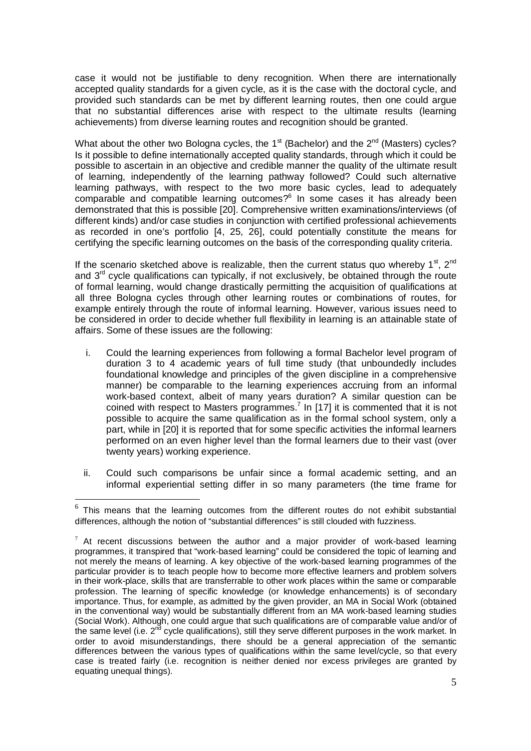case it would not be justifiable to deny recognition. When there are internationally accepted quality standards for a given cycle, as it is the case with the doctoral cycle, and provided such standards can be met by different learning routes, then one could argue that no substantial differences arise with respect to the ultimate results (learning achievements) from diverse learning routes and recognition should be granted.

What about the other two Bologna cycles, the 1<sup>st</sup> (Bachelor) and the 2<sup>nd</sup> (Masters) cycles? Is it possible to define internationally accepted quality standards, through which it could be possible to ascertain in an objective and credible manner the quality of the ultimate result of learning, independently of the learning pathway followed? Could such alternative learning pathways, with respect to the two more basic cycles, lead to adequately  $comparable$  and compatible learning outcomes? $6$  In some cases it has already been demonstrated that this is possible [20]. Comprehensive written examinations/interviews (of different kinds) and/or case studies in conjunction with certified professional achievements as recorded in one's portfolio [4, 25, 26], could potentially constitute the means for certifying the specific learning outcomes on the basis of the corresponding quality criteria.

If the scenario sketched above is realizable, then the current status quo whereby  $1^{st}$ ,  $2^{nd}$ and  $3<sup>rd</sup>$  cycle qualifications can typically, if not exclusively, be obtained through the route of formal learning, would change drastically permitting the acquisition of qualifications at all three Bologna cycles through other learning routes or combinations of routes, for example entirely through the route of informal learning. However, various issues need to be considered in order to decide whether full flexibility in learning is an attainable state of affairs. Some of these issues are the following:

- i. Could the learning experiences from following a formal Bachelor level program of duration 3 to 4 academic years of full time study (that unboundedly includes foundational knowledge and principles of the given discipline in a comprehensive manner) be comparable to the learning experiences accruing from an informal work-based context, albeit of many years duration? A similar question can be coined with respect to Masters programmes.<sup>7</sup> In [17] it is commented that it is not possible to acquire the same qualification as in the formal school system, only a part, while in [20] it is reported that for some specific activities the informal learners performed on an even higher level than the formal learners due to their vast (over twenty years) working experience.
- ii. Could such comparisons be unfair since a formal academic setting, and an informal experiential setting differ in so many parameters (the time frame for

<sup>-</sup>

 $6$  This means that the learning outcomes from the different routes do not exhibit substantial differences, although the notion of "substantial differences" is still clouded with fuzziness.

 $7$  At recent discussions between the author and a major provider of work-based learning programmes, it transpired that "work-based learning" could be considered the topic of learning and not merely the means of learning. A key objective of the work-based learning programmes of the particular provider is to teach people how to become more effective learners and problem solvers in their work-place, skills that are transferrable to other work places within the same or comparable profession. The learning of specific knowledge (or knowledge enhancements) is of secondary importance. Thus, for example, as admitted by the given provider, an MA in Social Work (obtained in the conventional way) would be substantially different from an MA work-based learning studies (Social Work). Although, one could argue that such qualifications are of comparable value and/or of the same level (i.e.  $2^{n\bar{d}}$  cycle qualifications), still they serve different purposes in the work market. In order to avoid misunderstandings, there should be a general appreciation of the semantic differences between the various types of qualifications within the same level/cycle, so that every case is treated fairly (i.e. recognition is neither denied nor excess privileges are granted by equating unequal things).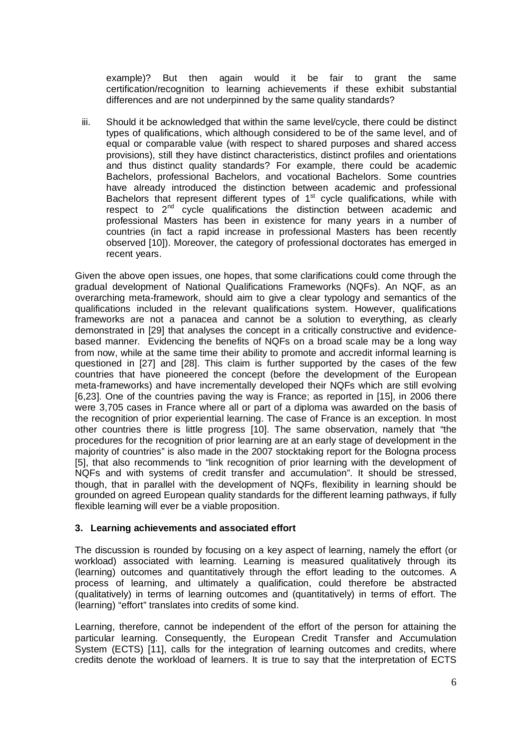example)? But then again would it be fair to grant the same certification/recognition to learning achievements if these exhibit substantial differences and are not underpinned by the same quality standards?

iii. Should it be acknowledged that within the same level/cycle, there could be distinct types of qualifications, which although considered to be of the same level, and of equal or comparable value (with respect to shared purposes and shared access provisions), still they have distinct characteristics, distinct profiles and orientations and thus distinct quality standards? For example, there could be academic Bachelors, professional Bachelors, and vocational Bachelors. Some countries have already introduced the distinction between academic and professional Bachelors that represent different types of  $1<sup>st</sup>$  cycle qualifications, while with respect to  $2<sup>nd</sup>$  cycle qualifications the distinction between academic and professional Masters has been in existence for many years in a number of countries (in fact a rapid increase in professional Masters has been recently observed [10]). Moreover, the category of professional doctorates has emerged in recent years.

Given the above open issues, one hopes, that some clarifications could come through the gradual development of National Qualifications Frameworks (NQFs). An NQF, as an overarching meta-framework, should aim to give a clear typology and semantics of the qualifications included in the relevant qualifications system. However, qualifications frameworks are not a panacea and cannot be a solution to everything, as clearly demonstrated in [29] that analyses the concept in a critically constructive and evidencebased manner. Evidencing the benefits of NQFs on a broad scale may be a long way from now, while at the same time their ability to promote and accredit informal learning is questioned in [27] and [28]. This claim is further supported by the cases of the few countries that have pioneered the concept (before the development of the European meta-frameworks) and have incrementally developed their NQFs which are still evolving [6,23]. One of the countries paving the way is France; as reported in [15], in 2006 there were 3,705 cases in France where all or part of a diploma was awarded on the basis of the recognition of prior experiential learning. The case of France is an exception. In most other countries there is little progress [10]. The same observation, namely that "the procedures for the recognition of prior learning are at an early stage of development in the majority of countries" is also made in the 2007 stocktaking report for the Bologna process [5], that also recommends to "link recognition of prior learning with the development of NQFs and with systems of credit transfer and accumulation". It should be stressed, though, that in parallel with the development of NQFs, flexibility in learning should be grounded on agreed European quality standards for the different learning pathways, if fully flexible learning will ever be a viable proposition.

## **3. Learning achievements and associated effort**

The discussion is rounded by focusing on a key aspect of learning, namely the effort (or workload) associated with learning. Learning is measured qualitatively through its (learning) outcomes and quantitatively through the effort leading to the outcomes. A process of learning, and ultimately a qualification, could therefore be abstracted (qualitatively) in terms of learning outcomes and (quantitatively) in terms of effort. The (learning) "effort" translates into credits of some kind.

Learning, therefore, cannot be independent of the effort of the person for attaining the particular learning. Consequently, the European Credit Transfer and Accumulation System (ECTS) [11], calls for the integration of learning outcomes and credits, where credits denote the workload of learners. It is true to say that the interpretation of ECTS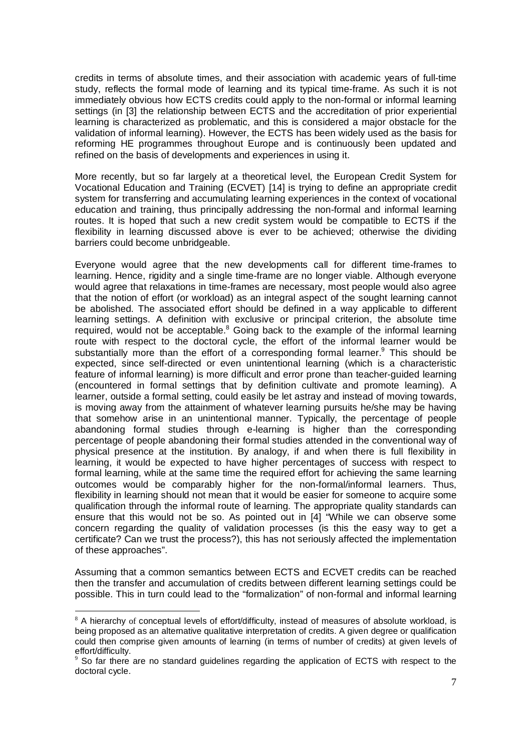credits in terms of absolute times, and their association with academic years of full-time study, reflects the formal mode of learning and its typical time-frame. As such it is not immediately obvious how ECTS credits could apply to the non-formal or informal learning settings (in [3] the relationship between ECTS and the accreditation of prior experiential learning is characterized as problematic, and this is considered a major obstacle for the validation of informal learning). However, the ECTS has been widely used as the basis for reforming HE programmes throughout Europe and is continuously been updated and refined on the basis of developments and experiences in using it.

More recently, but so far largely at a theoretical level, the European Credit System for Vocational Education and Training (ECVET) [14] is trying to define an appropriate credit system for transferring and accumulating learning experiences in the context of vocational education and training, thus principally addressing the non-formal and informal learning routes. It is hoped that such a new credit system would be compatible to ECTS if the flexibility in learning discussed above is ever to be achieved; otherwise the dividing barriers could become unbridgeable.

Everyone would agree that the new developments call for different time-frames to learning. Hence, rigidity and a single time-frame are no longer viable. Although everyone would agree that relaxations in time-frames are necessary, most people would also agree that the notion of effort (or workload) as an integral aspect of the sought learning cannot be abolished. The associated effort should be defined in a way applicable to different learning settings. A definition with exclusive or principal criterion, the absolute time required, would not be acceptable.<sup>8</sup> Going back to the example of the informal learning route with respect to the doctoral cycle, the effort of the informal learner would be substantially more than the effort of a corresponding formal learner.<sup>9</sup> This should be expected, since self-directed or even unintentional learning (which is a characteristic feature of informal learning) is more difficult and error prone than teacher-guided learning (encountered in formal settings that by definition cultivate and promote learning). A learner, outside a formal setting, could easily be let astray and instead of moving towards, is moving away from the attainment of whatever learning pursuits he/she may be having that somehow arise in an unintentional manner. Typically, the percentage of people abandoning formal studies through e-learning is higher than the corresponding percentage of people abandoning their formal studies attended in the conventional way of physical presence at the institution. By analogy, if and when there is full flexibility in learning, it would be expected to have higher percentages of success with respect to formal learning, while at the same time the required effort for achieving the same learning outcomes would be comparably higher for the non-formal/informal learners. Thus, flexibility in learning should not mean that it would be easier for someone to acquire some qualification through the informal route of learning. The appropriate quality standards can ensure that this would not be so. As pointed out in [4] "While we can observe some concern regarding the quality of validation processes (is this the easy way to get a certificate? Can we trust the process?), this has not seriously affected the implementation of these approaches".

Assuming that a common semantics between ECTS and ECVET credits can be reached then the transfer and accumulation of credits between different learning settings could be possible. This in turn could lead to the "formalization" of non-formal and informal learning

 $\overline{a}$ 

 $8$  A hierarchy of conceptual levels of effort/difficulty, instead of measures of absolute workload, is being proposed as an alternative qualitative interpretation of credits. A given degree or qualification could then comprise given amounts of learning (in terms of number of credits) at given levels of effort/difficulty.

<sup>9</sup> So far there are no standard guidelines regarding the application of ECTS with respect to the doctoral cycle.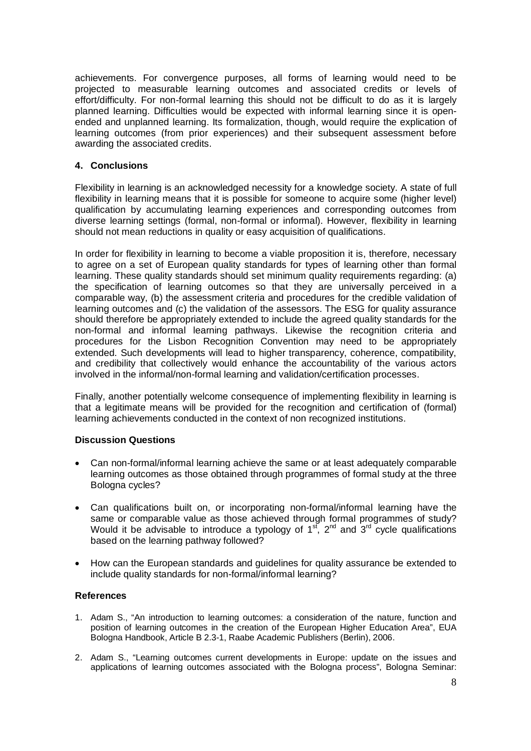achievements. For convergence purposes, all forms of learning would need to be projected to measurable learning outcomes and associated credits or levels of effort/difficulty. For non-formal learning this should not be difficult to do as it is largely planned learning. Difficulties would be expected with informal learning since it is openended and unplanned learning. Its formalization, though, would require the explication of learning outcomes (from prior experiences) and their subsequent assessment before awarding the associated credits.

### **4. Conclusions**

Flexibility in learning is an acknowledged necessity for a knowledge society. A state of full flexibility in learning means that it is possible for someone to acquire some (higher level) qualification by accumulating learning experiences and corresponding outcomes from diverse learning settings (formal, non-formal or informal). However, flexibility in learning should not mean reductions in quality or easy acquisition of qualifications.

In order for flexibility in learning to become a viable proposition it is, therefore, necessary to agree on a set of European quality standards for types of learning other than formal learning. These quality standards should set minimum quality requirements regarding: (a) the specification of learning outcomes so that they are universally perceived in a comparable way, (b) the assessment criteria and procedures for the credible validation of learning outcomes and (c) the validation of the assessors. The ESG for quality assurance should therefore be appropriately extended to include the agreed quality standards for the non-formal and informal learning pathways. Likewise the recognition criteria and procedures for the Lisbon Recognition Convention may need to be appropriately extended. Such developments will lead to higher transparency, coherence, compatibility, and credibility that collectively would enhance the accountability of the various actors involved in the informal/non-formal learning and validation/certification processes.

Finally, another potentially welcome consequence of implementing flexibility in learning is that a legitimate means will be provided for the recognition and certification of (formal) learning achievements conducted in the context of non recognized institutions.

### **Discussion Questions**

- Can non-formal/informal learning achieve the same or at least adequately comparable learning outcomes as those obtained through programmes of formal study at the three Bologna cycles?
- Can qualifications built on, or incorporating non-formal/informal learning have the same or comparable value as those achieved through formal programmes of study? Would it be advisable to introduce a typology of  $1<sup>st</sup>$ ,  $2<sup>nd</sup>$  and  $3<sup>rd</sup>$  cycle qualifications based on the learning pathway followed?
- How can the European standards and guidelines for quality assurance be extended to include quality standards for non-formal/informal learning?

### **References**

- 1. Adam S., "An introduction to learning outcomes: a consideration of the nature, function and position of learning outcomes in the creation of the European Higher Education Area", EUA Bologna Handbook, Article B 2.3-1, Raabe Academic Publishers (Berlin), 2006.
- 2. Adam S., "Learning outcomes current developments in Europe: update on the issues and applications of learning outcomes associated with the Bologna process", Bologna Seminar: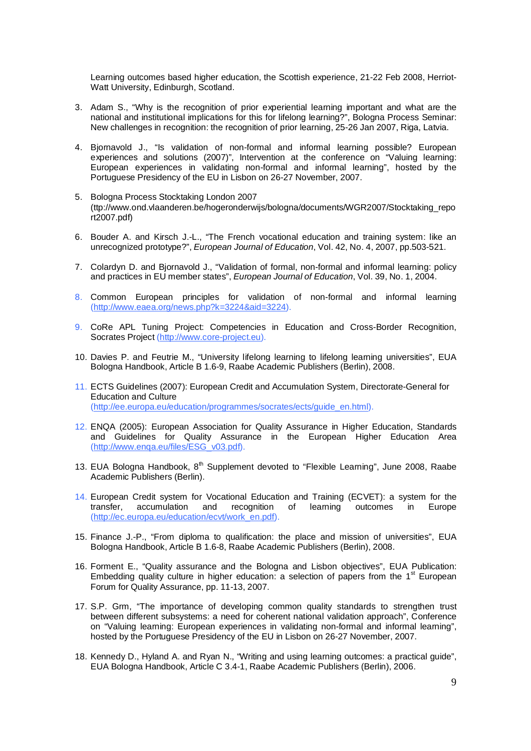Learning outcomes based higher education, the Scottish experience, 21-22 Feb 2008, Herriot-Watt University, Edinburgh, Scotland.

- 3. Adam S., "Why is the recognition of prior experiential learning important and what are the national and institutional implications for this for lifelong learning?", Bologna Process Seminar: New challenges in recognition: the recognition of prior learning, 25-26 Jan 2007, Riga, Latvia.
- 4. Bjornavold J., "Is validation of non-formal and informal learning possible? European experiences and solutions (2007)", Intervention at the conference on "Valuing learning: European experiences in validating non-formal and informal learning", hosted by the Portuguese Presidency of the EU in Lisbon on 26-27 November, 2007.
- 5. Bologna Process Stocktaking London 2007 (ttp://www.ond.vlaanderen.be/hogeronderwijs/bologna/documents/WGR2007/Stocktaking\_repo rt2007.pdf)
- 6. Bouder A. and Kirsch J.-L., "The French vocational education and training system: like an unrecognized prototype?", *European Journal of Education*, Vol. 42, No. 4, 2007, pp.503-521.
- 7. Colardyn D. and Bjornavold J., "Validation of formal, non-formal and informal learning: policy and practices in EU member states", *European Journal of Education*, Vol. 39, No. 1, 2004.
- 8. Common European principles for validation of non-formal and informal learning (http://www.eaea.org/news.php?k=3224&aid=3224).
- 9. CoRe APL Tuning Project: Competencies in Education and Cross-Border Recognition, Socrates Project (http://www.core-project.eu).
- 10. Davies P. and Feutrie M., "University lifelong learning to lifelong learning universities", EUA Bologna Handbook, Article B 1.6-9, Raabe Academic Publishers (Berlin), 2008.
- 11. ECTS Guidelines (2007): European Credit and Accumulation System, Directorate-General for Education and Culture (http://ee.europa.eu/education/programmes/socrates/ects/guide\_en.html).
- 12. ENQA (2005): European Association for Quality Assurance in Higher Education, Standards and Guidelines for Quality Assurance in the European Higher Education Area (http://www.enqa.eu/files/ESG\_v03.pdf).
- 13. EUA Bologna Handbook,  $8<sup>th</sup>$  Supplement devoted to "Flexible Learning", June 2008, Raabe Academic Publishers (Berlin).
- 14. European Credit system for Vocational Education and Training (ECVET): a system for the<br>transfer, accumulation and recognition of learning outcomes in Europe accumulation and recognition of learning outcomes in (http://ec.europa.eu/education/ecvt/work\_en.pdf).
- 15. Finance J.-P., "From diploma to qualification: the place and mission of universities", EUA Bologna Handbook, Article B 1.6-8, Raabe Academic Publishers (Berlin), 2008.
- 16. Forment E., "Quality assurance and the Bologna and Lisbon objectives", EUA Publication: Embedding quality culture in higher education: a selection of papers from the  $1<sup>st</sup>$  European Forum for Quality Assurance, pp. 11-13, 2007.
- 17. S.P. Grm, "The importance of developing common quality standards to strengthen trust between different subsystems: a need for coherent national validation approach", Conference on "Valuing learning: European experiences in validating non-formal and informal learning", hosted by the Portuguese Presidency of the EU in Lisbon on 26-27 November, 2007.
- 18. Kennedy D., Hyland A. and Ryan N., "Writing and using learning outcomes: a practical guide", EUA Bologna Handbook, Article C 3.4-1, Raabe Academic Publishers (Berlin), 2006.